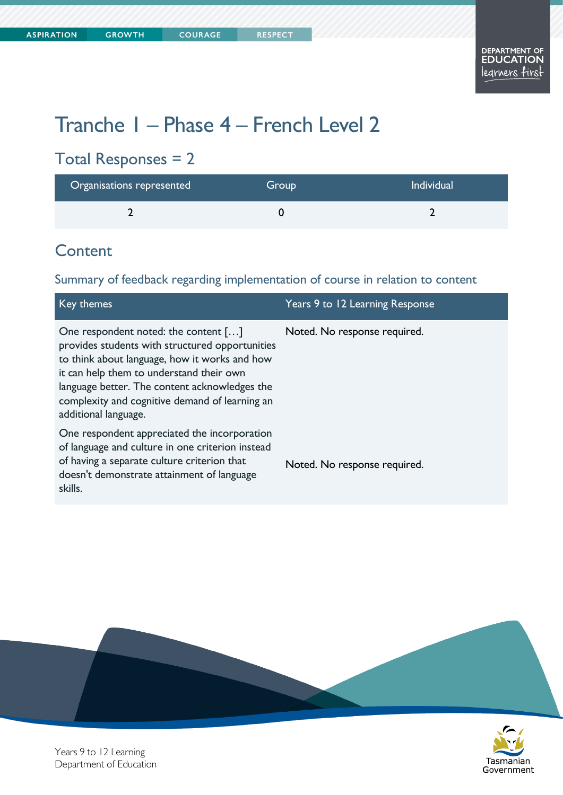# Tranche 1 – Phase 4 – French Level 2

## Total Responses = 2

| Organisations represented | Group | <b>Individual</b> |
|---------------------------|-------|-------------------|
|                           |       |                   |

## **Content**

Summary of feedback regarding implementation of course in relation to content

| Key themes                                                                                                                                                                                                                                                                                                      | Years 9 to 12 Learning Response |
|-----------------------------------------------------------------------------------------------------------------------------------------------------------------------------------------------------------------------------------------------------------------------------------------------------------------|---------------------------------|
| One respondent noted: the content []<br>provides students with structured opportunities<br>to think about language, how it works and how<br>it can help them to understand their own<br>language better. The content acknowledges the<br>complexity and cognitive demand of learning an<br>additional language. | Noted. No response required.    |
| One respondent appreciated the incorporation<br>of language and culture in one criterion instead<br>of having a separate culture criterion that<br>doesn't demonstrate attainment of language<br>skills.                                                                                                        | Noted. No response required.    |





Years 9 to 12 Learning Department of Education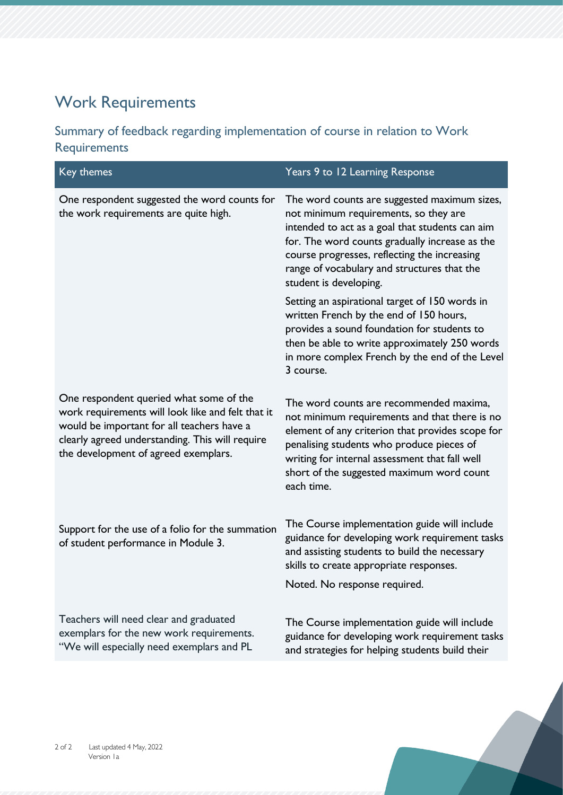## Work Requirements

#### Summary of feedback regarding implementation of course in relation to Work Requirements

| Key themes                                                                                                                                                                                                                            | Years 9 to 12 Learning Response                                                                                                                                                                                                                                                                                     |
|---------------------------------------------------------------------------------------------------------------------------------------------------------------------------------------------------------------------------------------|---------------------------------------------------------------------------------------------------------------------------------------------------------------------------------------------------------------------------------------------------------------------------------------------------------------------|
| One respondent suggested the word counts for<br>the work requirements are quite high.                                                                                                                                                 | The word counts are suggested maximum sizes,<br>not minimum requirements, so they are<br>intended to act as a goal that students can aim<br>for. The word counts gradually increase as the<br>course progresses, reflecting the increasing<br>range of vocabulary and structures that the<br>student is developing. |
|                                                                                                                                                                                                                                       | Setting an aspirational target of 150 words in<br>written French by the end of 150 hours,<br>provides a sound foundation for students to<br>then be able to write approximately 250 words<br>in more complex French by the end of the Level<br>3 course.                                                            |
| One respondent queried what some of the<br>work requirements will look like and felt that it<br>would be important for all teachers have a<br>clearly agreed understanding. This will require<br>the development of agreed exemplars. | The word counts are recommended maxima,<br>not minimum requirements and that there is no<br>element of any criterion that provides scope for<br>penalising students who produce pieces of<br>writing for internal assessment that fall well<br>short of the suggested maximum word count<br>each time.              |
| Support for the use of a folio for the summation<br>of student performance in Module 3.                                                                                                                                               | The Course implementation guide will include<br>guidance for developing work requirement tasks<br>and assisting students to build the necessary<br>skills to create appropriate responses.<br>Noted. No response required.                                                                                          |
| Teachers will need clear and graduated<br>exemplars for the new work requirements.<br>"We will especially need exemplars and PL                                                                                                       | The Course implementation guide will include<br>guidance for developing work requirement tasks<br>and strategies for helping students build their                                                                                                                                                                   |